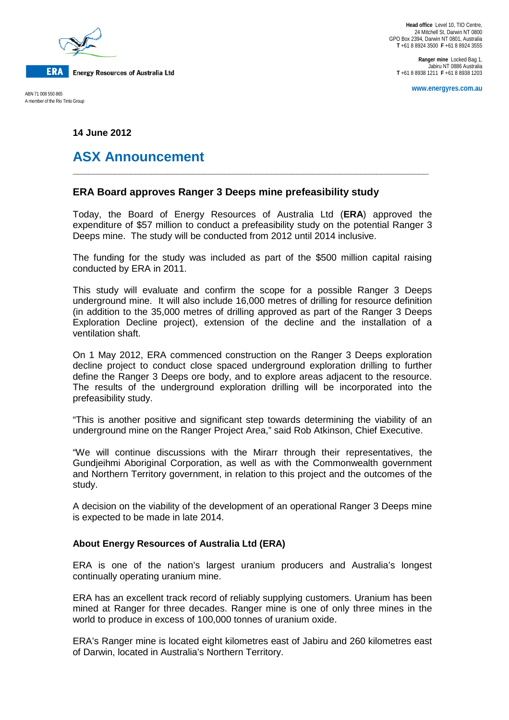

A member of the Rio Tinto Group

**Ranger mine** Locked Bag 1, Jabiru NT 0886 Australia **T** +61 8 8938 1211 **F** +61 8 8938 1203

**www.energyres.com.au** ABN 71 008 550 865

**14 June 2012**

# **ASX Announcement**

## **ERA Board approves Ranger 3 Deeps mine prefeasibility study**

Today, the Board of Energy Resources of Australia Ltd (**ERA**) approved the expenditure of \$57 million to conduct a prefeasibility study on the potential Ranger 3 Deeps mine. The study will be conducted from 2012 until 2014 inclusive.

**\_\_\_\_\_\_\_\_\_\_\_\_\_\_\_\_\_\_\_\_\_\_\_\_\_\_\_\_\_\_\_\_\_\_\_\_\_\_\_\_\_\_\_\_\_\_\_\_\_\_\_\_\_\_\_\_\_\_\_\_\_\_\_\_\_\_\_\_**

The funding for the study was included as part of the \$500 million capital raising conducted by ERA in 2011.

This study will evaluate and confirm the scope for a possible Ranger 3 Deeps underground mine. It will also include 16,000 metres of drilling for resource definition (in addition to the 35,000 metres of drilling approved as part of the Ranger 3 Deeps Exploration Decline project), extension of the decline and the installation of a ventilation shaft.

On 1 May 2012, ERA commenced construction on the Ranger 3 Deeps exploration decline project to conduct close spaced underground exploration drilling to further define the Ranger 3 Deeps ore body, and to explore areas adjacent to the resource. The results of the underground exploration drilling will be incorporated into the prefeasibility study.

"This is another positive and significant step towards determining the viability of an underground mine on the Ranger Project Area," said Rob Atkinson, Chief Executive.

"We will continue discussions with the Mirarr through their representatives, the Gundjeihmi Aboriginal Corporation, as well as with the Commonwealth government and Northern Territory government, in relation to this project and the outcomes of the study.

A decision on the viability of the development of an operational Ranger 3 Deeps mine is expected to be made in late 2014.

## **About Energy Resources of Australia Ltd (ERA)**

ERA is one of the nation's largest uranium producers and Australia's longest continually operating uranium mine.

ERA has an excellent track record of reliably supplying customers. Uranium has been mined at Ranger for three decades. Ranger mine is one of only three mines in the world to produce in excess of 100,000 tonnes of uranium oxide.

ERA's Ranger mine is located eight kilometres east of Jabiru and 260 kilometres east of Darwin, located in Australia's Northern Territory.